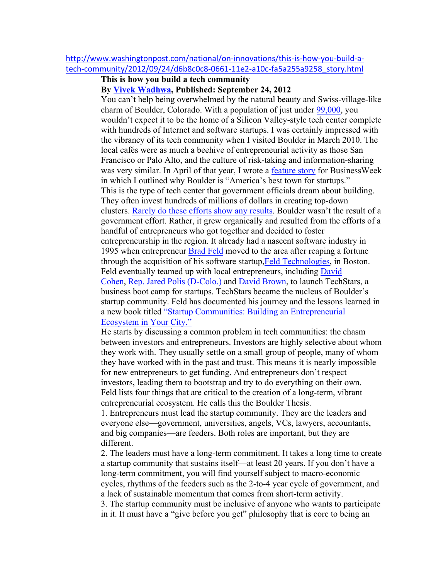## http://www.washingtonpost.com/national/on-innovations/this-is-how-you-build-atech-community/2012/09/24/d6b8c0c8-0661-11e2-a10c-fa5a255a9258\_story.html

## **This is how you build a tech community By Vivek Wadhwa, Published: September 24, 2012**

You can't help being overwhelmed by the natural beauty and Swiss-village-like charm of Boulder, Colorado. With a population of just under 99,000, you wouldn't expect it to be the home of a Silicon Valley-style tech center complete with hundreds of Internet and software startups. I was certainly impressed with the vibrancy of its tech community when I visited Boulder in March 2010. The local cafés were as much a beehive of entrepreneurial activity as those San Francisco or Palo Alto, and the culture of risk-taking and information-sharing was very similar. In April of that year, I wrote a feature story for BusinessWeek in which I outlined why Boulder is "America's best town for startups." This is the type of tech center that government officials dream about building. They often invest hundreds of millions of dollars in creating top-down clusters. Rarely do these efforts show any results. Boulder wasn't the result of a government effort. Rather, it grew organically and resulted from the efforts of a handful of entrepreneurs who got together and decided to foster entrepreneurship in the region. It already had a nascent software industry in 1995 when entrepreneur Brad Feld moved to the area after reaping a fortune through the acquisition of his software startup,Feld Technologies, in Boston. Feld eventually teamed up with local entrepreneurs, including David Cohen, Rep. Jared Polis (D-Colo.) and David Brown, to launch TechStars, a business boot camp for startups. TechStars became the nucleus of Boulder's startup community. Feld has documented his journey and the lessons learned in a new book titled "Startup Communities: Building an Entrepreneurial Ecosystem in Your City."

He starts by discussing a common problem in tech communities: the chasm between investors and entrepreneurs. Investors are highly selective about whom they work with. They usually settle on a small group of people, many of whom they have worked with in the past and trust. This means it is nearly impossible for new entrepreneurs to get funding. And entrepreneurs don't respect investors, leading them to bootstrap and try to do everything on their own. Feld lists four things that are critical to the creation of a long-term, vibrant entrepreneurial ecosystem. He calls this the Boulder Thesis.

1. Entrepreneurs must lead the startup community. They are the leaders and everyone else—government, universities, angels, VCs, lawyers, accountants, and big companies—are feeders. Both roles are important, but they are different.

2. The leaders must have a long-term commitment. It takes a long time to create a startup community that sustains itself—at least 20 years. If you don't have a long-term commitment, you will find yourself subject to macro-economic cycles, rhythms of the feeders such as the 2-to-4 year cycle of government, and a lack of sustainable momentum that comes from short-term activity.

3. The startup community must be inclusive of anyone who wants to participate in it. It must have a "give before you get" philosophy that is core to being an